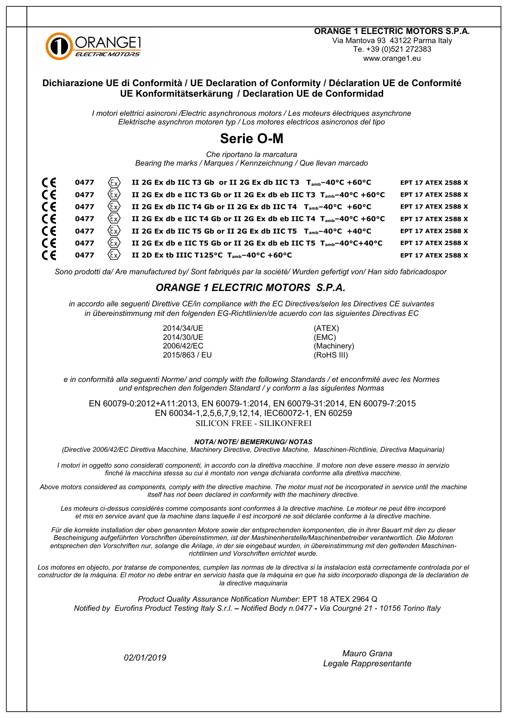

**ORANGE 1 ELECTRIC MOTORS S.P.A.** Via Mantova 93 43122 Parma Italy Te. +39 (0)521 272383

### www.orange1.eu

### Dichiarazione UE di Conformità / UE Declaration of Conformity / Déclaration UE de Conformité UE Konformitätserkärung / Declaration UE de Conformidad

I motori elettrici asincroni /Electric asynchronous motors / Les moteurs électriques asynchrone Elektrische asynchron motoren typ / Los motores electricos asincronos del tipo

# **Serie O-M**

Che riportano la marcatura

Bearing the marks / Marques / Kennzeichnung / Que llevan marcado

| $\epsilon$ | $\langle \epsilon_{\sf x} \rangle$<br>0477                            | II 2G Ex db IIC T3 Gb or II 2G Ex db IIC T3 $T_{amb} - 40^{\circ}C + 60^{\circ}C$      | <b>EPT 17 ATEX 2588 X</b> |
|------------|-----------------------------------------------------------------------|----------------------------------------------------------------------------------------|---------------------------|
| C€         | $\langle \! \begin{array}{c} \infty \ \end{array} \! \rangle$<br>0477 | II 2G Ex db e IIC T3 Gb or II 2G Ex db eb IIC T3 T <sub>amb</sub> -40°C +60°C          | <b>EPT 17 ATEX 2588 X</b> |
| $\epsilon$ | (Ex)<br>0477                                                          | II 2G Ex db IIC T4 Gb or II 2G Ex db IIC T4 $T_{amb} - 40^{\circ}C + 60^{\circ}C$      | <b>EPT 17 ATEX 2588 X</b> |
| $\epsilon$ | $\langle \epsilon_{\sf x} \rangle$<br>0477                            | II 2G Ex db e IIC T4 Gb or II 2G Ex db eb IIC T4 T <sub>amb</sub> -40°C +60°C          | <b>EPT 17 ATEX 2588 X</b> |
| $\epsilon$ | $\langle \epsilon_{\sf x} \rangle$<br>0477                            | II 2G Ex db IIC T5 Gb or II 2G Ex db IIC T5 T <sub>amb</sub> -40°C +40°C               | <b>EPT 17 ATEX 2588 X</b> |
| $\epsilon$ | $\langle \! \begin{array}{c} \infty \ \end{array} \! \rangle$<br>0477 | II 2G Ex db e IIC T5 Gb or II 2G Ex db eb IIC T5 $T_{amb} - 40^{\circ}C + 40^{\circ}C$ | <b>EPT 17 ATEX 2588 X</b> |
| $\epsilon$ | $\langle \! \begin{array}{c} \infty \ \end{array} \! \rangle$<br>0477 | II 2D Ex tb IIIC T125°C $T_{amb} - 40$ °C +60°C                                        | <b>EPT 17 ATEX 2588 X</b> |
|            |                                                                       |                                                                                        |                           |

Sono prodotti da/Are manufactured by/Sont fabriqués par la société/Wurden gefertigt von/Han sido fabricadospor

## **ORANGE 1 ELECTRIC MOTORS S.P.A.**

in accordo alle seguenti Direttive CE/in compliance with the EC Directives/selon les Directives CE suivantes in übereinstimmung mit den folgenden EG-Richtlinien/de acuerdo con las siguientes Directivas EC

> 2014/34/UE 2014/30/UE 2006/42/EC 2015/863 / FU

(ATEX)  $(EMC)$ (Machinery) (RoHS III)

e in conformità alla seguenti Norme/ and comply with the following Standards / et enconfrmité avec les Normes und entsprechen den folgenden Standard / y conform a las sigulentes Normas

EN 60079-0:2012+A11:2013, EN 60079-1:2014, EN 60079-31:2014, EN 60079-7:2015 EN 60034-1,2,5,6,7,9,12,14, IEC60072-1, EN 60259 **SILICON FREE - SILIKONFREI** 

#### **NOTA/ NOTE/ BEMERKUNG/ NOTAS**

(Directive 2006/42/EC Direttiva Macchine, Machinery Directive, Directive Machine, Maschinen-Richtlinie, Directiva Maquinaria)

I motori in oggetto sono considerati componenti, in accordo con la direttiva macchine. Il motore non deve essere messo in servizio finché la macchina stessa su cui è montato non venga dichiarata conforme alla direttiva macchine.

Above motors considered as components, comply with the directive machine. The motor must not be incorporated in service until the machine itself has not been declared in conformity with the machinery directive.

Les moteurs ci-dessus considérés comme composants sont conformes à la directive machine. Le moteur ne peut être incorporé et mis en service avant que la machine dans laquelle il est incorporé ne soit déclarée conforme à la directive machine.

Für die korrekte installation der oben genannten Motore sowie der entsprechenden komponenten, die in ihrer Bauart mit den zu dieser Bescheinigung aufgeführten Vorschriften übereinstimmen, ist der Mashinenherstelle/Maschinenbetreiber verantwortlich. Die Motoren entsprechen den Vorschriften nur, solange die Anlage, in der sie eingebaut wurden, in übereinstimmung mit den geltenden Maschinenrichtlinien und Vorschriften errichtet wurde.

Los motores en objecto, por tratarse de componentes, cumplen las normas de la directiva si la instalacion està correctamente controlada por el constructor de la màquina. El motor no debe entrar en servicio hasta que la màquina en que ha sido incorporado disponga de la declaration de la directive maquinaria

Product Quality Assurance Notification Number: EPT 18 ATEX 2964 Q Notified by Eurofins Product Testing Italy S.r.l. - Notified Body n.0477 - Via Courgné 21 - 10156 Torino Italy

02/01/2019

Mauro Grana Legale Rappresentante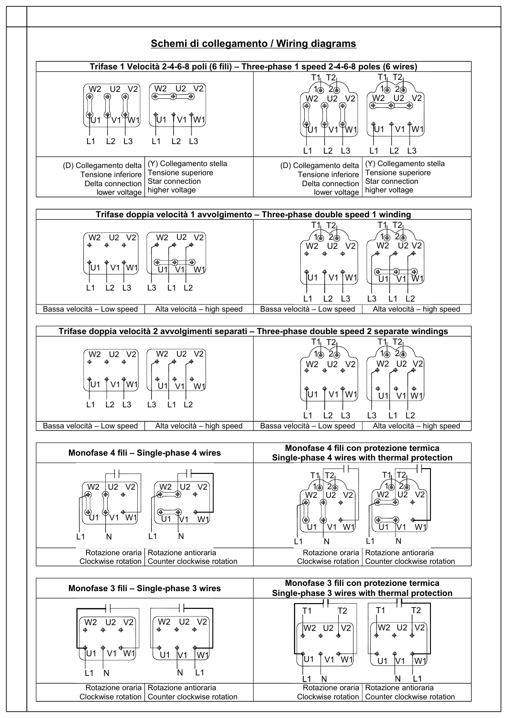